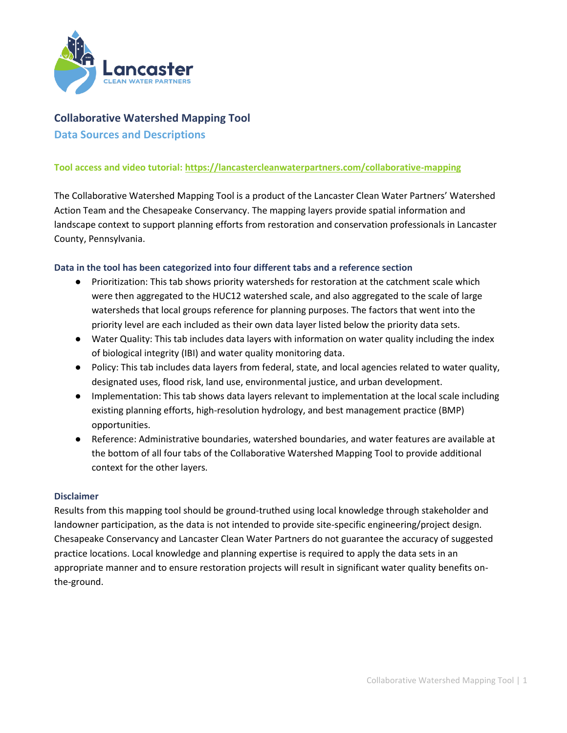

# **Collaborative Watershed Mapping Tool**

**Data Sources and Descriptions** 

# **Tool access and video tutorial[: https://lancastercleanwaterpartners.com/collaborative-mapping](https://lancastercleanwaterpartners.com/collaborative-mapping)**

The Collaborative Watershed Mapping Tool is a product of the Lancaster Clean Water Partners' Watershed Action Team and the Chesapeake Conservancy. The mapping layers provide spatial information and landscape context to support planning efforts from restoration and conservation professionals in Lancaster County, Pennsylvania.

### **Data in the tool has been categorized into four different tabs and a reference section**

- Prioritization: This tab shows priority watersheds for restoration at the catchment scale which were then aggregated to the HUC12 watershed scale, and also aggregated to the scale of large watersheds that local groups reference for planning purposes. The factors that went into the priority level are each included as their own data layer listed below the priority data sets.
- Water Quality: This tab includes data layers with information on water quality including the index of biological integrity (IBI) and water quality monitoring data.
- Policy: This tab includes data layers from federal, state, and local agencies related to water quality, designated uses, flood risk, land use, environmental justice, and urban development.
- Implementation: This tab shows data layers relevant to implementation at the local scale including existing planning efforts, high-resolution hydrology, and best management practice (BMP) opportunities.
- Reference: Administrative boundaries, watershed boundaries, and water features are available at the bottom of all four tabs of the Collaborative Watershed Mapping Tool to provide additional context for the other layers.

### **Disclaimer**

Results from this mapping tool should be ground-truthed using local knowledge through stakeholder and landowner participation, as the data is not intended to provide site-specific engineering/project design. Chesapeake Conservancy and Lancaster Clean Water Partners do not guarantee the accuracy of suggested practice locations. Local knowledge and planning expertise is required to apply the data sets in an appropriate manner and to ensure restoration projects will result in significant water quality benefits onthe-ground.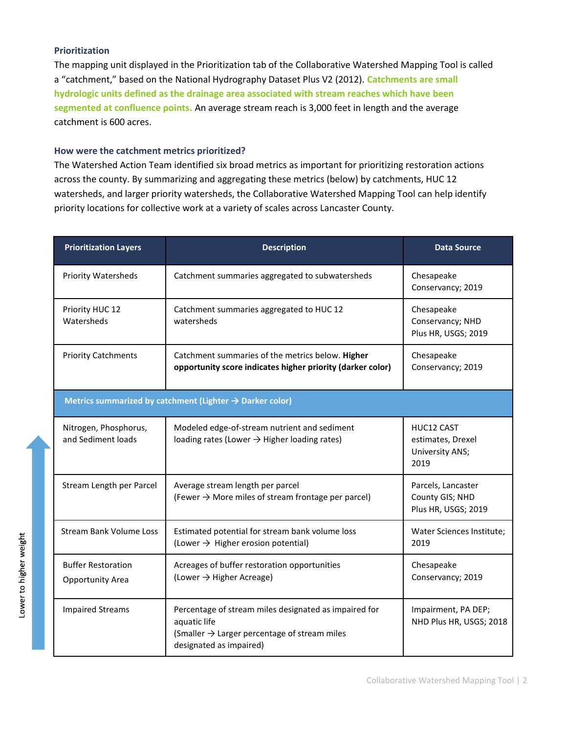# **Prioritization**

The mapping unit displayed in the Prioritization tab of the Collaborative Watershed Mapping Tool is called a "catchment," based on the National Hydrography Dataset Plus V2 (2012). **Catchments are small hydrologic units defined as the drainage area associated with stream reaches which have been segmented at confluence points.** An average stream reach is 3,000 feet in length and the average catchment is 600 acres.

## **How were the catchment metrics prioritized?**

The Watershed Action Team identified six broad metrics as important for prioritizing restoration actions across the county. By summarizing and aggregating these metrics (below) by catchments, HUC 12 watersheds, and larger priority watersheds, the Collaborative Watershed Mapping Tool can help identify priority locations for collective work at a variety of scales across Lancaster County.

| <b>Prioritization Layers</b>                  | <b>Description</b>                                                                                                                                           | <b>Data Source</b>                                           |
|-----------------------------------------------|--------------------------------------------------------------------------------------------------------------------------------------------------------------|--------------------------------------------------------------|
| <b>Priority Watersheds</b>                    | Catchment summaries aggregated to subwatersheds                                                                                                              | Chesapeake<br>Conservancy; 2019                              |
| Priority HUC 12<br>Watersheds                 | Catchment summaries aggregated to HUC 12<br>watersheds                                                                                                       | Chesapeake<br>Conservancy; NHD<br>Plus HR, USGS; 2019        |
| <b>Priority Catchments</b>                    | Catchment summaries of the metrics below. Higher<br>opportunity score indicates higher priority (darker color)                                               | Chesapeake<br>Conservancy; 2019                              |
|                                               | Metrics summarized by catchment (Lighter → Darker color)                                                                                                     |                                                              |
| Nitrogen, Phosphorus,<br>and Sediment loads   | Modeled edge-of-stream nutrient and sediment<br>loading rates (Lower $\rightarrow$ Higher loading rates)                                                     | HUC12 CAST<br>estimates, Drexel<br>University ANS;<br>2019   |
| Stream Length per Parcel                      | Average stream length per parcel<br>(Fewer $\rightarrow$ More miles of stream frontage per parcel)                                                           | Parcels, Lancaster<br>County GIS; NHD<br>Plus HR, USGS; 2019 |
| <b>Stream Bank Volume Loss</b>                | Estimated potential for stream bank volume loss<br>(Lower $\rightarrow$ Higher erosion potential)                                                            | Water Sciences Institute;<br>2019                            |
| <b>Buffer Restoration</b><br>Opportunity Area | Acreages of buffer restoration opportunities<br>(Lower $\rightarrow$ Higher Acreage)                                                                         | Chesapeake<br>Conservancy; 2019                              |
| <b>Impaired Streams</b>                       | Percentage of stream miles designated as impaired for<br>aquatic life<br>(Smaller $\rightarrow$ Larger percentage of stream miles<br>designated as impaired) | Impairment, PA DEP;<br>NHD Plus HR, USGS; 2018               |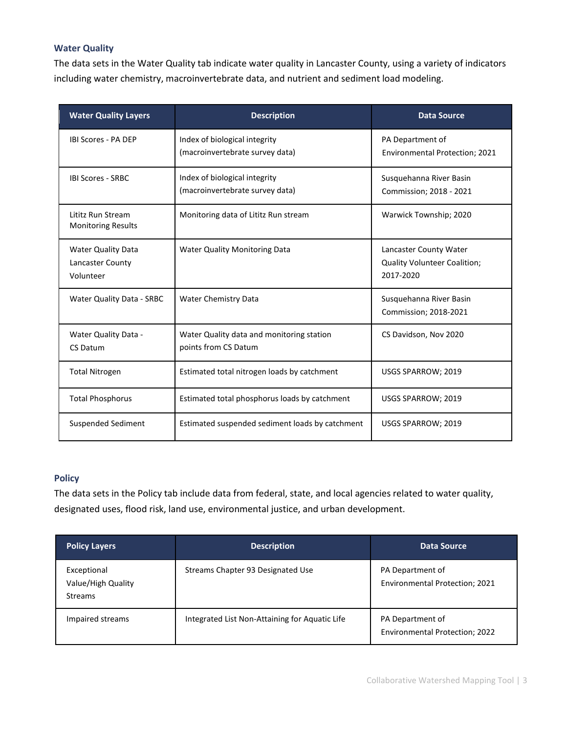# **Water Quality**

The data sets in the Water Quality tab indicate water quality in Lancaster County, using a variety of indicators including water chemistry, macroinvertebrate data, and nutrient and sediment load modeling.

| <b>Water Quality Layers</b>                                | <b>Description</b>                                                | <b>Data Source</b>                                                         |
|------------------------------------------------------------|-------------------------------------------------------------------|----------------------------------------------------------------------------|
| <b>IBI Scores - PA DEP</b>                                 | Index of biological integrity<br>(macroinvertebrate survey data)  | PA Department of<br>Environmental Protection; 2021                         |
| <b>IBI Scores - SRBC</b>                                   | Index of biological integrity<br>(macroinvertebrate survey data)  | Susquehanna River Basin<br>Commission; 2018 - 2021                         |
| Lititz Run Stream<br><b>Monitoring Results</b>             | Monitoring data of Lititz Run stream                              | Warwick Township; 2020                                                     |
| <b>Water Quality Data</b><br>Lancaster County<br>Volunteer | <b>Water Quality Monitoring Data</b>                              | Lancaster County Water<br><b>Quality Volunteer Coalition;</b><br>2017-2020 |
| Water Quality Data - SRBC                                  | <b>Water Chemistry Data</b>                                       | Susquehanna River Basin<br>Commission; 2018-2021                           |
| Water Quality Data -<br><b>CS Datum</b>                    | Water Quality data and monitoring station<br>points from CS Datum | CS Davidson, Nov 2020                                                      |
| <b>Total Nitrogen</b>                                      | Estimated total nitrogen loads by catchment                       | USGS SPARROW; 2019                                                         |
| <b>Total Phosphorus</b>                                    | Estimated total phosphorus loads by catchment                     | USGS SPARROW; 2019                                                         |
| <b>Suspended Sediment</b>                                  | Estimated suspended sediment loads by catchment                   | USGS SPARROW; 2019                                                         |

## **Policy**

The data sets in the Policy tab include data from federal, state, and local agencies related to water quality, designated uses, flood risk, land use, environmental justice, and urban development.

| <b>Policy Layers</b>                                | <b>Description</b>                             | Data Source                                        |
|-----------------------------------------------------|------------------------------------------------|----------------------------------------------------|
| Exceptional<br>Value/High Quality<br><b>Streams</b> | Streams Chapter 93 Designated Use              | PA Department of<br>Environmental Protection; 2021 |
| Impaired streams                                    | Integrated List Non-Attaining for Aquatic Life | PA Department of<br>Environmental Protection; 2022 |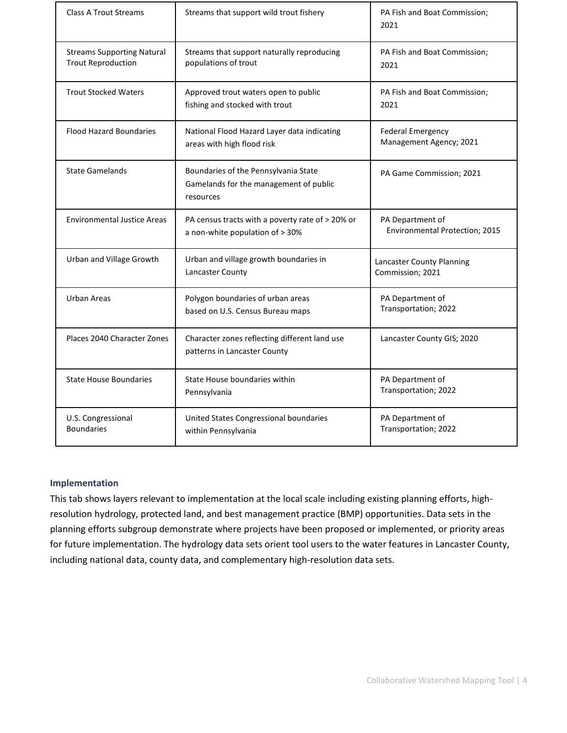| <b>Class A Trout Streams</b>                                   | Streams that support wild trout fishery                                                     | PA Fish and Boat Commission;<br>2021                |
|----------------------------------------------------------------|---------------------------------------------------------------------------------------------|-----------------------------------------------------|
| <b>Streams Supporting Natural</b><br><b>Trout Reproduction</b> | Streams that support naturally reproducing<br>populations of trout                          | PA Fish and Boat Commission;<br>2021                |
| <b>Trout Stocked Waters</b>                                    | Approved trout waters open to public<br>fishing and stocked with trout                      | PA Fish and Boat Commission;<br>2021                |
| <b>Flood Hazard Boundaries</b>                                 | National Flood Hazard Layer data indicating<br>areas with high flood risk                   | <b>Federal Emergency</b><br>Management Agency; 2021 |
| <b>State Gamelands</b>                                         | Boundaries of the Pennsylvania State<br>Gamelands for the management of public<br>resources | PA Game Commission; 2021                            |
| <b>Environmental Justice Areas</b>                             | PA census tracts with a poverty rate of > 20% or<br>a non-white population of > 30%         | PA Department of<br>Environmental Protection; 2015  |
| Urban and Village Growth                                       | Urban and village growth boundaries in<br>Lancaster County                                  | Lancaster County Planning<br>Commission; 2021       |
| <b>Urban Areas</b>                                             | Polygon boundaries of urban areas<br>based on U.S. Census Bureau maps                       | PA Department of<br>Transportation; 2022            |
| Places 2040 Character Zones                                    | Character zones reflecting different land use<br>patterns in Lancaster County               | Lancaster County GIS; 2020                          |
| <b>State House Boundaries</b>                                  | State House boundaries within<br>Pennsylvania                                               | PA Department of<br>Transportation; 2022            |
| U.S. Congressional<br><b>Boundaries</b>                        | United States Congressional boundaries<br>within Pennsylvania                               | PA Department of<br>Transportation; 2022            |

### **Implementation**

This tab shows layers relevant to implementation at the local scale including existing planning efforts, highresolution hydrology, protected land, and best management practice (BMP) opportunities. Data sets in the planning efforts subgroup demonstrate where projects have been proposed or implemented, or priority areas for future implementation. The hydrology data sets orient tool users to the water features in Lancaster County, including national data, county data, and complementary high-resolution data sets.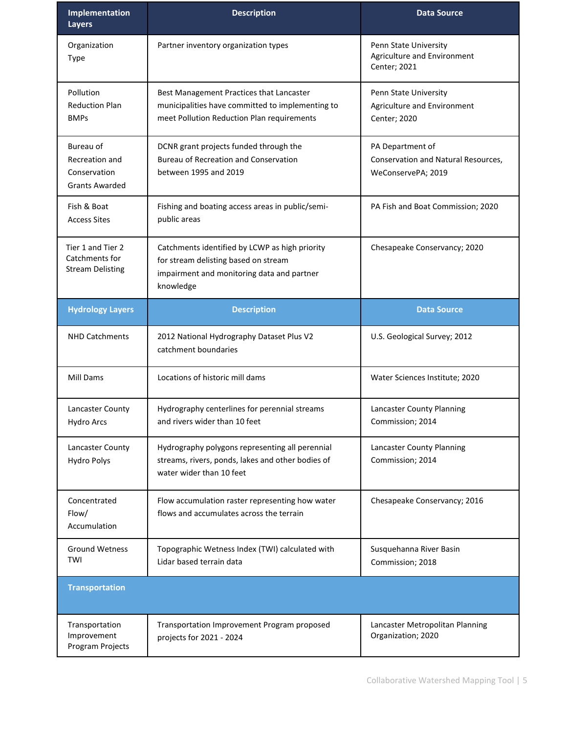| Implementation<br><b>Layers</b>                                      | <b>Description</b>                                                                                                                                | <b>Data Source</b>                                                            |
|----------------------------------------------------------------------|---------------------------------------------------------------------------------------------------------------------------------------------------|-------------------------------------------------------------------------------|
| Organization<br>Type                                                 | Partner inventory organization types                                                                                                              | Penn State University<br>Agriculture and Environment<br>Center; 2021          |
| Pollution<br><b>Reduction Plan</b><br><b>BMPs</b>                    | Best Management Practices that Lancaster<br>municipalities have committed to implementing to<br>meet Pollution Reduction Plan requirements        | Penn State University<br>Agriculture and Environment<br>Center; 2020          |
| Bureau of<br>Recreation and<br>Conservation<br><b>Grants Awarded</b> | DCNR grant projects funded through the<br><b>Bureau of Recreation and Conservation</b><br>between 1995 and 2019                                   | PA Department of<br>Conservation and Natural Resources,<br>WeConservePA; 2019 |
| Fish & Boat<br><b>Access Sites</b>                                   | Fishing and boating access areas in public/semi-<br>public areas                                                                                  | PA Fish and Boat Commission; 2020                                             |
| Tier 1 and Tier 2<br>Catchments for<br><b>Stream Delisting</b>       | Catchments identified by LCWP as high priority<br>for stream delisting based on stream<br>impairment and monitoring data and partner<br>knowledge | Chesapeake Conservancy; 2020                                                  |
| <b>Hydrology Layers</b>                                              | <b>Description</b>                                                                                                                                | <b>Data Source</b>                                                            |
| <b>NHD Catchments</b>                                                | 2012 National Hydrography Dataset Plus V2                                                                                                         | U.S. Geological Survey; 2012                                                  |
|                                                                      | catchment boundaries                                                                                                                              |                                                                               |
| Mill Dams                                                            | Locations of historic mill dams                                                                                                                   | Water Sciences Institute; 2020                                                |
| Lancaster County<br>Hydro Arcs                                       | Hydrography centerlines for perennial streams<br>and rivers wider than 10 feet                                                                    | Lancaster County Planning<br>Commission; 2014                                 |
| Lancaster County<br><b>Hydro Polys</b>                               | Hydrography polygons representing all perennial<br>streams, rivers, ponds, lakes and other bodies of<br>water wider than 10 feet                  | Lancaster County Planning<br>Commission; 2014                                 |
| Concentrated<br>Flow/<br>Accumulation                                | Flow accumulation raster representing how water<br>flows and accumulates across the terrain                                                       | Chesapeake Conservancy; 2016                                                  |
| <b>Ground Wetness</b><br>TWI                                         | Topographic Wetness Index (TWI) calculated with<br>Lidar based terrain data                                                                       | Susquehanna River Basin<br>Commission; 2018                                   |
| <b>Transportation</b>                                                |                                                                                                                                                   |                                                                               |